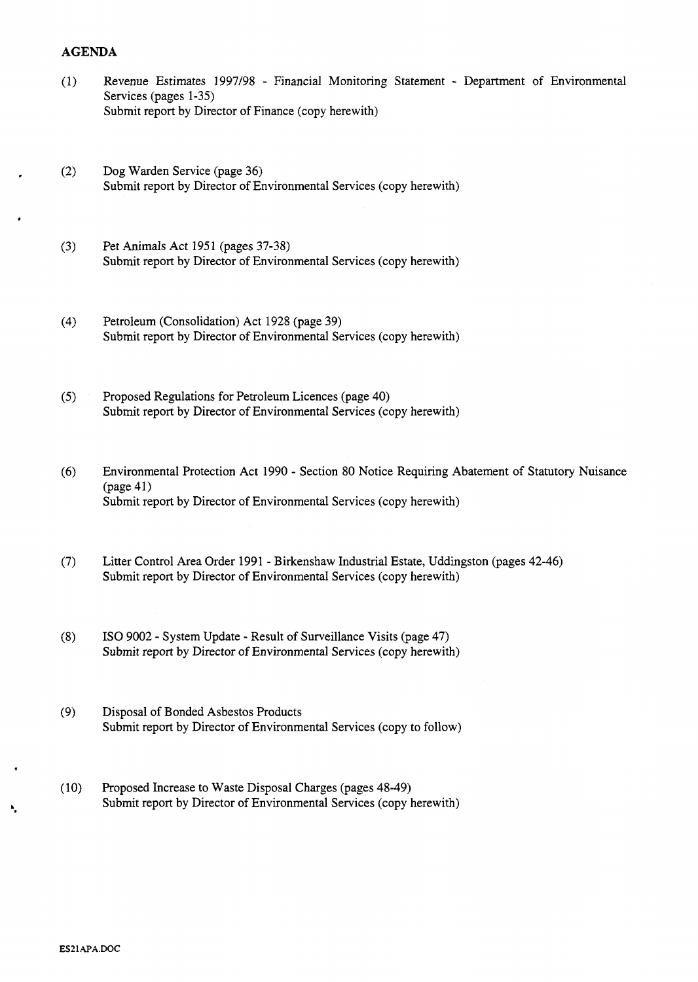## **AGENDA**

- $(1)$ Revenue Estimates 1997/98 - Financial Monitoring Statement - Department of Environmental Services (pages 1-35) [Submit report by Director of Finance \(copy herewith\)](HTTP://mars.northlan.gov.uk/xpedio/groups/public/documents/report/044265.pdf)
- $(2)$ Dog Warden Service (page 36) [Submit report by Director of Environmental Services \(copy herewith\)](HTTP://mars.northlan.gov.uk/xpedio/groups/public/documents/report/044266.pdf)
- $(3)$ Pet Animals Act 1951 (pages 37-38) [Submit report by Director of Environmental Services \(copy herewith\)](HTTP://mars.northlan.gov.uk/xpedio/groups/public/documents/report/044267.pdf)
- Petroleum (Consolidation) Act 1928 (page 39)  $(4)$ [Submit report by Director of Environmental Services \(copy herewith\)](HTTP://mars.northlan.gov.uk/xpedio/groups/public/documents/report/044268.pdf)
- $(5)$ Proposed Regulations for Petroleum Licences (page 40) [Submit report by Director of Environmental Services \(copy herewith\)](HTTP://mars.northlan.gov.uk/xpedio/groups/public/documents/report/044269.pdf)
- *(6)* Environmental Protection Act 1990 Section 80 Notice Requiring Abatement of Statutory Nuisance [Submit report by Director of Environmental Services \(copy herewith\)](HTTP://mars.northlan.gov.uk/xpedio/groups/public/documents/report/044271.pdf)  (page 41)
- (7) Litter Control Area Order 1991 Birkenshaw Industrial Estate, Uddingston (pages 42-46) [Submit report by Director of Environmental Services \(copy herewith\)](HTTP://mars.northlan.gov.uk/xpedio/groups/public/documents/report/044272.pdf)
- **(8)** IS0 9002 System Update Result of Surveillance Visits (page 47) [Submit report by Director of Environmental Services \(copy herewith\)](HTTP://mars.northlan.gov.uk/xpedio/groups/public/documents/report/044273.pdf)
- (9) Disposal of Bonded Asbestos Products [Submit report by Director of Environmental Services \(copy to follow\)](HTTP://mars.northlan.gov.uk/xpedio/groups/public/documents/report/044287.pdf)
- (10) Proposed Increase to Waste Disposal Charges (pages 48-49) Submit report by Director of Environmental Services (copy herewith)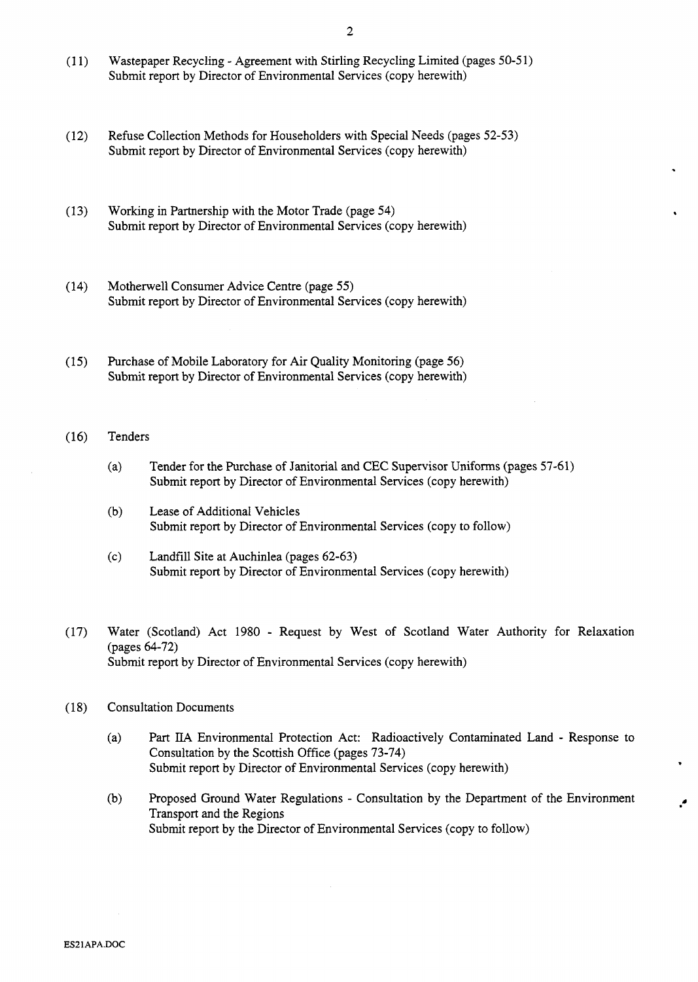.

Ļ.

- (1 **1)** Wastepaper Recycling Agreement with Stirling Recycling Limited (pages 50-5 1) [Submit report by Director of Environmental Services \(copy herewith\)](HTTP://mars.northlan.gov.uk/xpedio/groups/public/documents/report/044275.pdf)
- (12) [Refuse Collection Methods for Householders with Special Needs \(pages 52-53\)](HTTP://mars.northlan.gov.uk/xpedio/groups/public/documents/report/044277.pdf)  Submit report by Director of Environmental Services (copy herewith)
- [\(13\) Working in Partnership with the Motor Trade \(page 54\)](HTTP://mars.northlan.gov.uk/xpedio/groups/public/documents/report/044278.pdf)  Submit report by Director of Environmental Services (copy herewith)
- (14) Motherwell Consumer Advice Centre (page 55) [Submit report by Director of Environmental Services \(copy herewith\)](HTTP://mars.northlan.gov.uk/xpedio/groups/public/documents/report/044279.pdf)
- [\(15\) Purchase of Mobile Laboratory for Air Quality Monitoring \(page 56\)](HTTP://mars.northlan.gov.uk/xpedio/groups/public/documents/report/044280.pdf)  Submit report by Director of Environmental Services (copy herewith)

## (16) Tenders

- (a) [Tender for the Purchase of Janitorial and CEC Supervisor Uniforms \(pages 57-61\)](HTTP://mars.northlan.gov.uk/xpedio/groups/public/documents/report/044281.pdf)  Submit report by Director of Environmental Services (copy herewith)
- (b) Lease of Additional Vehicles [Submit report by Director of Environmental Services \(copy to follow\)](HTTP://mars.northlan.gov.uk/xpedio/groups/public/documents/report/044288.pdf)
- (c) Landfill Site at Auchinlea (pages 62-63) [Submit report by Director of Environmental Services \(copy herewith\)](HTTP://mars.northlan.gov.uk/xpedio/groups/public/documents/report/044282.pdf)
- (17) Water (Scotland) Act 1980 Request by West of Scotland Water Authority for Relaxation (pages 64-72) [Submit report by Director of Environmental Services \(copy herewith\)](HTTP://mars.northlan.gov.uk/xpedio/groups/public/documents/report/044283.pdf)
- (1 **8)** Consultation Documents
	- (a) **Part** IIA Environmental Protection Act: Radioactively Contaminated Land Response to Consultation by the Scottish Office (pages 73-74) [Submit report by Director of Environmental Services \(copy herewith\)](HTTP://mars.northlan.gov.uk/xpedio/groups/public/documents/report/044284.pdf)
	- (b) Proposed Ground Water Regulations Consultation by the Department of the Environment Transport and the Regions [Submit report by the Director of Environmental Services \(copy to follow\)](HTTP://mars.northlan.gov.uk/xpedio/groups/public/documents/report/044289.pdf)